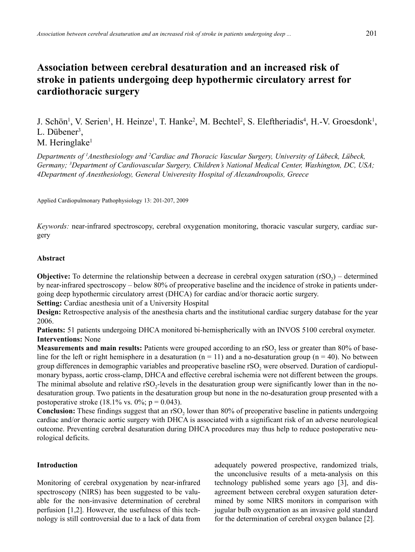# **Association between cerebral desaturation and an increased risk of stroke in patients undergoing deep hypothermic circulatory arrest for cardiothoracic surgery**

J. Schön<sup>1</sup>, V. Serien<sup>1</sup>, H. Heinze<sup>1</sup>, T. Hanke<sup>2</sup>, M. Bechtel<sup>2</sup>, S. Eleftheriadis<sup>4</sup>, H.-V. Groesdonk<sup>1</sup>, L. Dübener<sup>3</sup>,

# M. Heringlake<sup>1</sup>

*Departments of 1 Anesthesiology and 2 Cardiac and Thoracic Vascular Surgery, University of Lübeck, Lübeck, Germany; 3 Department of Cardiovascular Surgery, Children's National Medical Center, Washington, DC, USA; 4Department of Anesthesiology, General Univeresity Hospital of Alexandroupolis, Greece*

Applied Cardiopulmonary Pathophysiology 13: 201-207, 2009

*Keywords:* near-infrared spectroscopy, cerebral oxygenation monitoring, thoracic vascular surgery, cardiac surgery

# **Abstract**

**Objective:** To determine the relationship between a decrease in cerebral oxygen saturation  $(rSO<sub>2</sub>)$  – determined by near-infrared spectroscopy – below 80% of preoperative baseline and the incidence of stroke in patients undergoing deep hypothermic circulatory arrest (DHCA) for cardiac and/or thoracic aortic surgery.

**Setting:** Cardiac anesthesia unit of a University Hospital

**Design:** Retrospective analysis of the anesthesia charts and the institutional cardiac surgery database for the year 2006.

**Patients:** 51 patients undergoing DHCA monitored bi-hemispherically with an INVOS 5100 cerebral oxymeter. **Interventions:** None

**Measurements and main results:** Patients were grouped according to an rSO<sub>2</sub> less or greater than 80% of baseline for the left or right hemisphere in a desaturation  $(n = 11)$  and a no-desaturation group  $(n = 40)$ . No between group differences in demographic variables and preoperative baseline  $rSO<sub>2</sub>$  were observed. Duration of cardiopulmonary bypass, aortic cross-clamp, DHCA and effective cerebral ischemia were not different between the groups. The minimal absolute and relative  $rSO<sub>2</sub>$ -levels in the desaturation group were significantly lower than in the nodesaturation group. Two patients in the desaturation group but none in the no-desaturation group presented with a postoperative stroke  $(18.1\% \text{ vs. } 0\%; \text{ p} = 0.043)$ .

**Conclusion:** These findings suggest that an rSO<sub>2</sub> lower than 80% of preoperative baseline in patients undergoing cardiac and/or thoracic aortic surgery with DHCA is associated with a significant risk of an adverse neurological outcome. Preventing cerebral desaturation during DHCA procedures may thus help to reduce postoperative neurological deficits.

# **Introduction**

Monitoring of cerebral oxygenation by near-infrared spectroscopy (NIRS) has been suggested to be valuable for the non-invasive determination of cerebral perfusion [1,2]. However, the usefulness of this technology is still controversial due to a lack of data from adequately powered prospective, randomized trials, the unconclusive results of a meta-analysis on this technology published some years ago [3], and disagreement between cerebral oxygen saturation determined by some NIRS monitors in comparison with jugular bulb oxygenation as an invasive gold standard for the determination of cerebral oxygen balance [2].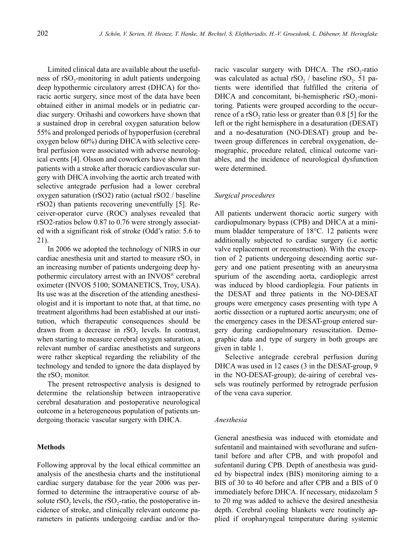Limited clinical data are available about the usefulness of rSO<sub>2</sub>-monitoring in adult patients undergoing deep hypothermic circulatory arrest (DHCA) for thoracic aortic surgery, since most of the data have been obtained either in animal models or in pediatric cardiac surgery. Orihashi and coworkers have shown that a sustained drop in cerebral oxygen saturation below 55% and prolonged periods of hypoperfusion (cerebral oxygen below 60%) during DHCA with selective cerebral perfusion were associated with adverse neurological events [4]. Olsson and coworkers have shown that patients with a stroke after thoracic cardiovascular surgery with DHCA involving the aortic arch treated with selective antegrade perfusion had a lower cerebral oxygen saturation (rSO2) ratio (actual rSO2 / baseline rSO2) than patients recovering uneventfully [5]. Receiver-operator curve (ROC) analyses revealed that rSO2-ratios below 0.87 to 0.76 were strongly associated with a significant risk of stroke (Odd's ratio: 5.6 to 21).

In 2006 we adopted the technology of NIRS in our cardiac anesthesia unit and started to measure rSO<sub>2</sub> in an increasing number of patients undergoing deep hypothermic circulatory arrest with an INVOS® cerebral oximeter (INVOS 5100; SOMANETICS, Troy, USA). Its use was at the discretion of the attending anesthesiologist and it is important to note that, at that time, no treatment algorithms had been established at our institution, which therapeutic consequences should be drawn from a decrease in rSO<sub>2</sub> levels. In contrast, when starting to measure cerebral oxygen saturation, a relevant number of cardiac anesthetists and surgeons were rather skeptical regarding the reliability of the technology and tended to ignore the data displayed by the  $rSO<sub>2</sub>$  monitor.

The present retrospective analysis is designed to determine the relationship between intraoperative cerebral desaturation and postoperative neurological outcome in a heterogeneous population of patients undergoing thoracic vascular surgery with DHCA.

#### **Methods**

Following approval by the local ethical committee an analysis of the anesthesia charts and the institutional cardiac surgery database for the year 2006 was performed to determine the intraoperative course of absolute  $rSO<sub>2</sub>$  levels, the  $rSO<sub>2</sub>-ratio$ , the postoperative incidence of stroke, and clinically relevant outcome parameters in patients undergoing cardiac and/or thoracic vascular surgery with DHCA. The rSO<sub>2</sub>-ratio was calculated as actual  $rSO<sub>2</sub>$  / baseline  $rSO<sub>2</sub>$ . 51 patients were identified that fulfilled the criteria of DHCA and concomitant, bi-hemispheric rSO<sub>2</sub>-monitoring. Patients were grouped according to the occurrence of a rSO<sub>2</sub> ratio less or greater than  $0.8$  [5] for the left or the right hemisphere in a desaturation (DESAT) and a no-desaturation (NO-DESAT) group and between group differences in cerebral oxygenation, demographic, procedure related, clinical outcome variables, and the incidence of neurological dysfunction were determined.

#### *Surgical procedures*

All patients underwent thoracic aortic surgery with cardiopulmonary bypass (CPB) and DHCA at a minimum bladder temperature of 18°C. 12 patients were additionally subjected to cardiac surgery (i.e aortic valve replacement or reconstruction). With the exception of 2 patients undergoing descending aortic surgery and one patient presenting with an aneurysma spurium of the ascending aorta, cardioplegic arrest was induced by blood cardioplegia. Four patients in the DESAT and three patients in the NO-DESAT groups were emergency cases presenting with type A aortic dissection or a ruptured aortic aneurysm; one of the emergency cases in the DESAT-group entered surgery during cardiopulmonary resuscitation. Demographic data and type of surgery in both groups are given in table 1.

Selective antegrade cerebral perfusion during DHCA was used in 12 cases (3 in the DESAT-group, 9 in the NO-DESAT-group); de-airing of cerebral vessels was routinely performed by retrograde perfusion of the vena cava superior.

# *Anesthesia*

General anesthesia was induced with etomidate and sufentanil and maintained with sevoflurane and sufentanil before and after CPB, and with propofol and sufentanil during CPB. Depth of anesthesia was guided by bispectral index (BIS) monitoring aiming to a BIS of 30 to 40 before and after CPB and a BIS of 0 immediately before DHCA. If necessary, midazolam 5 to 20 mg was added to achieve the desired anesthesia depth. Cerebral cooling blankets were routinely applied if oropharyngeal temperature during systemic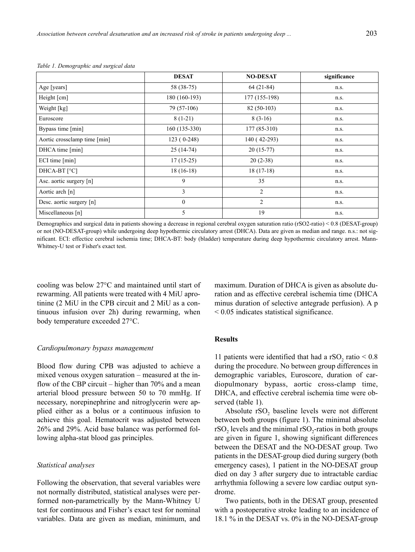|                              | <b>DESAT</b>   | <b>NO-DESAT</b> | significance |
|------------------------------|----------------|-----------------|--------------|
| Age [years]                  | 58 (38-75)     | $64(21-84)$     | n.s.         |
| Height [cm]                  | 180 (160-193)  | 177 (155-198)   | n.s.         |
| Weight [kg]                  | 79 (57-106)    | $82(50-103)$    | n.s.         |
| Euroscore                    | $8(1-21)$      | $8(3-16)$       | n.s.         |
| Bypass time [min]            | $160(135-330)$ | $177(85-310)$   | n.s.         |
| Aortic crossclamp time [min] | $123(0-248)$   | 140 (42-293)    | n.s.         |
| DHCA time [min]              | $25(14-74)$    | $20(15-77)$     | n.s.         |
| ECI time [min]               | $17(15-25)$    | $20(2-38)$      | n.s.         |
| DHCA-BT [°C]                 | $18(16-18)$    | $18(17-18)$     | n.s.         |
| Asc. aortic surgery [n]      | 9              | 35              | n.s.         |
| Aortic arch [n]              | 3              | 2               | n.s.         |
| Desc. aortic surgery [n]     | $\mathbf{0}$   | 2               | n.s.         |
| Miscellaneous [n]            | 5              | 19              | n.s.         |

| Table 1. Demographic and surgical data |  |  |  |  |
|----------------------------------------|--|--|--|--|
|----------------------------------------|--|--|--|--|

Demographics and surgical data in patients showing a decrease in regional cerebral oxygen saturation ratio (rSO2-ratio) < 0.8 (DESAT-group) or not (NO-DESAT-group) while undergoing deep hypothermic circulatory arrest (DHCA). Data are given as median and range. n.s.: not significant. ECI: effectice cerebral ischemia time; DHCA-BT: body (bladder) temperature during deep hypothermic circulatory arrest. Mann-Whitney-U test or Fisher's exact test.

cooling was below 27°C and maintained until start of rewarming. All patients were treated with 4 MiU aprotinine (2 MiU in the CPB circuit and 2 MiU as a continuous infusion over 2h) during rewarming, when body temperature exceeded 27°C.

#### *Cardiopulmonary bypass management*

Blood flow during CPB was adjusted to achieve a mixed venous oxygen saturation – measured at the inflow of the CBP circuit – higher than 70% and a mean arterial blood pressure between 50 to 70 mmHg. If necessary, norepinephrine and nitroglycerin were applied either as a bolus or a continuous infusion to achieve this goal. Hematocrit was adjusted between 26% and 29%. Acid base balance was performed following alpha-stat blood gas principles.

#### *Statistical analyses*

Following the observation, that several variables were not normally distributed, statistical analyses were performed non-parametrically by the Mann-Whitney U test for continuous and Fisher's exact test for nominal variables. Data are given as median, minimum, and maximum. Duration of DHCA is given as absolute duration and as effective cerebral ischemia time (DHCA minus duration of selective antegrade perfusion). A p < 0.05 indicates statistical significance.

# **Results**

11 patients were identified that had a  $rSO<sub>2</sub>$  ratio < 0.8 during the procedure. No between group differences in demographic variables, Euroscore, duration of cardiopulmonary bypass, aortic cross-clamp time, DHCA, and effective cerebral ischemia time were observed (table 1).

Absolute rSO<sub>2</sub> baseline levels were not different between both groups (figure 1). The minimal absolute rSO<sub>2</sub> levels and the minimal  $rSO_2$ -ratios in both groups are given in figure 1, showing significant differences between the DESAT and the NO-DESAT group. Two patients in the DESAT-group died during surgery (both emergency cases), 1 patient in the NO-DESAT group died on day 3 after surgery due to intractable cardiac arrhythmia following a severe low cardiac output syndrome.

Two patients, both in the DESAT group, presented with a postoperative stroke leading to an incidence of 18.1 % in the DESAT vs. 0% in the NO-DESAT-group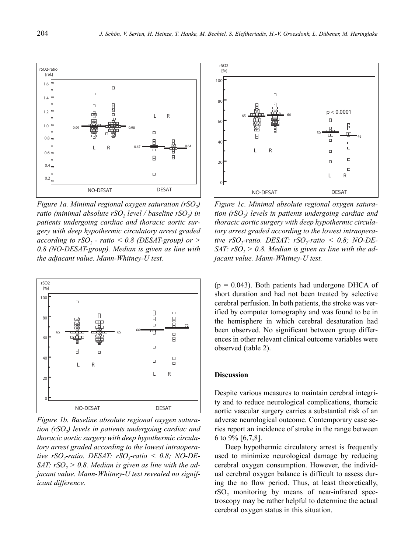

*Figure 1a. Minimal regional oxygen saturation (rSO<sub>2</sub>) ratio (minimal absolute rSO<sub>2</sub>, level / baseline rSO<sub>2</sub>) in patients undergoing cardiac and thoracic aortic surgery with deep hypothermic circulatory arrest graded according to rSO<sub>2</sub> - ratio < 0.8 (DESAT-group) or > 0.8 (NO-DESAT-group). Median is given as line with the adjacant value. Mann-Whitney-U test.*



*Figure 1b. Baseline absolute regional oxygen saturation (rSO2) levels in patients undergoing cardiac and thoracic aortic surgery with deep hypothermic circulatory arrest graded according to the lowest intraopera*tive  $rSO_2$ -ratio. DESAT:  $rSO_2$ -ratio < 0.8; NO-DE-*SAT: rSO<sub>2</sub> > 0.8. Median is given as line with the adjacant value. Mann-Whitney-U test revealed no significant difference.*



*Figure 1c. Minimal absolute regional oxygen saturation (rSO2) levels in patients undergoing cardiac and thoracic aortic surgery with deep hypothermic circulatory arrest graded according to the lowest intraopera* $tive$   $rSO$ <sub>2</sub>-ratio. DESAT:  $rSO$ <sub>2</sub>-ratio < 0.8; NO-DE-*SAT: rSO<sub>2</sub> > 0.8. Median is given as line with the adjacant value. Mann-Whitney-U test.*

 $(p = 0.043)$ . Both patients had undergone DHCA of short duration and had not been treated by selective cerebral perfusion. In both patients, the stroke was verified by computer tomography and was found to be in the hemisphere in which cerebral desaturation had been observed. No significant between group differences in other relevant clinical outcome variables were observed (table 2).

#### **Discussion**

Despite various measures to maintain cerebral integrity and to reduce neurological complications, thoracic aortic vascular surgery carries a substantial risk of an adverse neurological outcome. Contemporary case series report an incidence of stroke in the range between 6 to 9% [6,7,8].

Deep hypothermic circulatory arrest is frequently used to minimize neurological damage by reducing cerebral oxygen consumption. However, the individual cerebral oxygen balance is difficult to assess during the no flow period. Thus, at least theoretically,  $rSO<sub>2</sub>$  monitoring by means of near-infrared spectroscopy may be rather helpful to determine the actual cerebral oxygen status in this situation.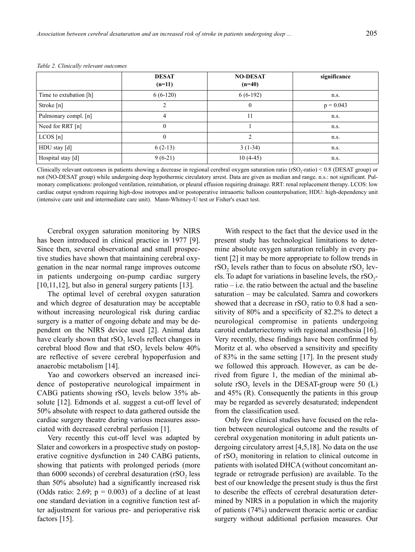|                        | <b>DESAT</b><br>$(n=11)$ | <b>NO-DESAT</b><br>$(n=40)$ | significance |
|------------------------|--------------------------|-----------------------------|--------------|
| Time to extubation [h] | $6(6-120)$               | $6(6-192)$                  | n.s.         |
| Stroke $[n]$           | ∍                        | $\theta$                    | $p = 0.043$  |
| Pulmonary compl. [n]   | 4                        | 11                          | n.s.         |
| Need for RRT [n]       | $\mathbf{0}$             |                             | n.s.         |
| LCOS[n]                | $\theta$                 | $\mathfrak{D}$              | n.s.         |
| HDU stay [d]           | $6(2-13)$                | $3(1-34)$                   | n.s.         |
| Hospital stay [d]      | $9(6-21)$                | $10(4-45)$                  | n.s.         |

*Table 2. Clinically relevant outcomes*

Clinically relevant outcomes in patients showing a decrease in regional cerebral oxygen saturation ratio ( $rSO_2$ -ratio) < 0.8 (DESAT group) or not (NO-DESAT group) while undergoing deep hypothermic circulatory arrest. Data are given as median and range. n.s.: not significant. Pulmonary complications: prolonged ventilation, reintubation, or pleural effusion requiring drainage. RRT: renal replacement therapy. LCOS: low cardiac output syndrom requiring high-dose inotropes and/or postoperative intraaortic balloon counterpulsation; HDU: high-dependency unit (intensive care unit and intermediate care unit). Mann-Whitney-U test or Fisher's exact test.

Cerebral oxygen saturation monitoring by NIRS has been introduced in clinical practice in 1977 [9]. Since then, several observational and small prospective studies have shown that maintaining cerebral oxygenation in the near normal range improves outcome in patients undergoing on-pump cardiac surgery [10,11,12], but also in general surgery patients [13].

The optimal level of cerebral oxygen saturation and which degree of desaturation may be acceptable without increasing neurological risk during cardiac surgery is a matter of ongoing debate and may be dependent on the NIRS device used [2]. Animal data have clearly shown that  $rSO<sub>2</sub>$  levels reflect changes in cerebral blood flow and that  $rSO<sub>2</sub>$  levels below  $40\%$ are reflective of severe cerebral hypoperfusion and anaerobic metabolism [14].

Yao and coworkers observed an increased incidence of postoperative neurological impairment in CABG patients showing rSO<sub>2</sub> levels below 35% absolute [12]. Edmonds et al. suggest a cut-off level of 50% absolute with respect to data gathered outside the cardiac surgery theatre during various measures associated with decreased cerebral perfusion [1].

Very recently this cut-off level was adapted by Slater and coworkers in a prospective study on postoperative cognitive dysfunction in 240 CABG patients, showing that patients with prolonged periods (more than  $6000$  seconds) of cerebral desaturation  $(rSO<sub>2</sub>)$  less than 50% absolute) had a significantly increased risk (Odds ratio: 2.69;  $p = 0.003$ ) of a decline of at least one standard deviation in a cognitive function test after adjustment for various pre- and perioperative risk factors [15].

With respect to the fact that the device used in the present study has technological limitations to determine absolute oxygen saturation reliably in every patient [2] it may be more appropriate to follow trends in  $rSO<sub>2</sub>$  levels rather than to focus on absolute  $rSO<sub>2</sub>$  levels. To adapt for variations in baseline levels, the  $rSO<sub>2</sub>$ ratio – i.e. the ratio between the actual and the baseline saturation – may be calculated. Samra and coworkers showed that a decrease in rSO<sub>2</sub> ratio to 0.8 had a sensitivity of 80% and a specificity of 82.2% to detect a neurological compromise in patients undergoing carotid endarteriectomy with regional anesthesia [16]. Very recently, these findings have been confirmed by Moritz et al. who observed a sensitivity and specifity of 83% in the same setting [17]. In the present study we followed this approach. However, as can be derived from figure 1, the median of the minimal absolute rSO<sub>2</sub> levels in the DESAT-group were 50  $(L)$ and 45% (R). Consequently the patients in this group may be regarded as severely desaturated; independent from the classification used.

Only few clinical studies have focused on the relation between neurological outcome and the results of cerebral oxygenation monitoring in adult patients undergoing circulatory arrest [4,5,18]. No data on the use of rSO<sub>2</sub> monitoring in relation to clinical outcome in patients with isolated DHCA (without concomitant antegrade or retrograde perfusion) are available. To the best of our knowledge the present study is thus the first to describe the effects of cerebral desaturation determined by NIRS in a population in which the majority of patients (74%) underwent thoracic aortic or cardiac surgery without additional perfusion measures. Our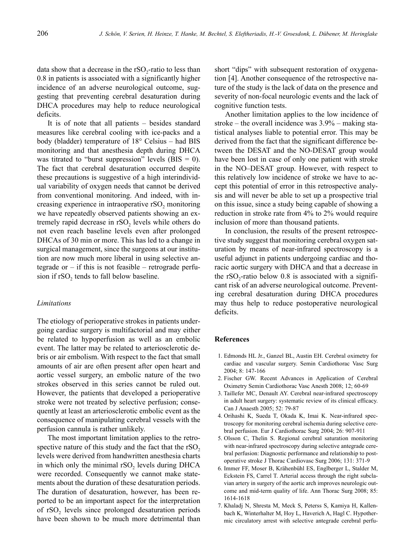data show that a decrease in the  $rSO<sub>2</sub>$ -ratio to less than 0.8 in patients is associated with a significantly higher incidence of an adverse neurological outcome, suggesting that preventing cerebral desaturation during DHCA procedures may help to reduce neurological deficits.

It is of note that all patients – besides standard measures like cerebral cooling with ice-packs and a body (bladder) temperature of 18° Celsius – had BIS monitoring and that anesthesia depth during DHCA was titrated to "burst suppression" levels  $(BIS = 0)$ . The fact that cerebral desaturation occurred despite these precautions is suggestive of a high interindividual variability of oxygen needs that cannot be derived from conventional monitoring. And indeed, with increasing experience in intraoperative  $rSO<sub>2</sub>$  monitoring we have repeatedly observed patients showing an extremely rapid decrease in rSO<sub>2</sub> levels while others do not even reach baseline levels even after prolonged DHCAs of 30 min or more. This has led to a change in surgical management, since the surgeons at our institution are now much more liberal in using selective antegrade or  $-$  if this is not feasible  $-$  retrograde perfusion if rSO<sub>2</sub> tends to fall below baseline.

#### *Limitations*

The etiology of perioperative strokes in patients undergoing cardiac surgery is multifactorial and may either be related to hypoperfusion as well as an embolic event. The latter may be related to arteriosclerotic debris or air embolism. With respect to the fact that small amounts of air are often present after open heart and aortic vessel surgery, an embolic nature of the two strokes observed in this series cannot be ruled out. However, the patients that developed a perioperative stroke were not treated by selective perfusion; consequently at least an arteriosclerotic embolic event as the consequence of manipulating cerebral vessels with the perfusion cannula is rather unlikely.

The most important limitation applies to the retrospective nature of this study and the fact that the  $rSO<sub>2</sub>$ levels were derived from handwritten anesthesia charts in which only the minimal rSO<sub>2</sub> levels during DHCA were recorded. Consequently we cannot make statements about the duration of these desaturation periods. The duration of desaturation, however, has been reported to be an important aspect for the interpretation of rSO<sub>2</sub> levels since prolonged desaturation periods have been shown to be much more detrimental than short "dips" with subsequent restoration of oxygenation [4]. Another consequence of the retrospective nature of the study is the lack of data on the presence and severity of non-focal neurologic events and the lack of cognitive function tests.

Another limitation applies to the low incidence of stroke – the overall incidence was 3.9% – making statistical analyses liable to potential error. This may be derived from the fact that the significant difference between the DESAT and the NO-DESAT group would have been lost in case of only one patient with stroke in the NO–DESAT group. However, with respect to this relatively low incidence of stroke we have to accept this potential of error in this retrospective analysis and will never be able to set up a prospective trial on this issue, since a study being capable of showing a reduction in stroke rate from 4% to 2% would require inclusion of more than thousand patients.

In conclusion, the results of the present retrospective study suggest that monitoring cerebral oxygen saturation by means of near-infrared spectroscopy is a useful adjunct in patients undergoing cardiac and thoracic aortic surgery with DHCA and that a decrease in the  $rSO<sub>2</sub>$ -ratio below 0.8 is associated with a significant risk of an adverse neurological outcome. Preventing cerebral desaturation during DHCA procedures may thus help to reduce postoperative neurological deficits.

# **References**

- 1. Edmonds HL Jr., Ganzel BL, Austin EH. Cerebral oximetry for cardiac and vascular surgery. Semin Cardiothorac Vasc Surg 2004; 8: 147-166
- 2. Fischer GW. Recent Advances in Application of Cerebral Oximetry Semin Cardiothorac Vasc Anesth 2008; 12; 60-69
- 3. Taillefer MC, Denault AY. Cerebral near-infrared spectroscopy in adult heart surgery: systematic review of its clinical efficacy. Can J Anaesth 2005; 52: 79-87
- 4. Orihashi K, Sueda T, Okada K, Imai K. Near-infrared spectroscopy for monitoring cerebral ischemia during selective cerebral perfusion. Eur J Cardiothorac Surg 2004; 26: 907-911
- 5. Olsson C, Thelin S. Regional cerebral saturation monitoring with near-infrared spectroscopy during selective antegrade cerebral perfusion: Diagnostic performance and relationship to postoperative stroke J Thorac Cardiovasc Surg 2006; 131: 371-9
- 6. Immer FF, Moser B, Krähenbühl ES, Englberger L, Stalder M, Eckstein FS, Carrel T. Arterial access through the right subclavian artery in surgery of the aortic arch improves neurologic outcome and mid-term quality of life. Ann Thorac Surg 2008; 85: 1614-1618
- 7. Khaladj N, Shresta M, Meck S, Peterss S, Kamiya H, Kallenbach K, Winterhalter M, Hoy L, Haverich A, Hagl C. Hypothermic circulatory arrest with selective antegrade cerebral perfu-